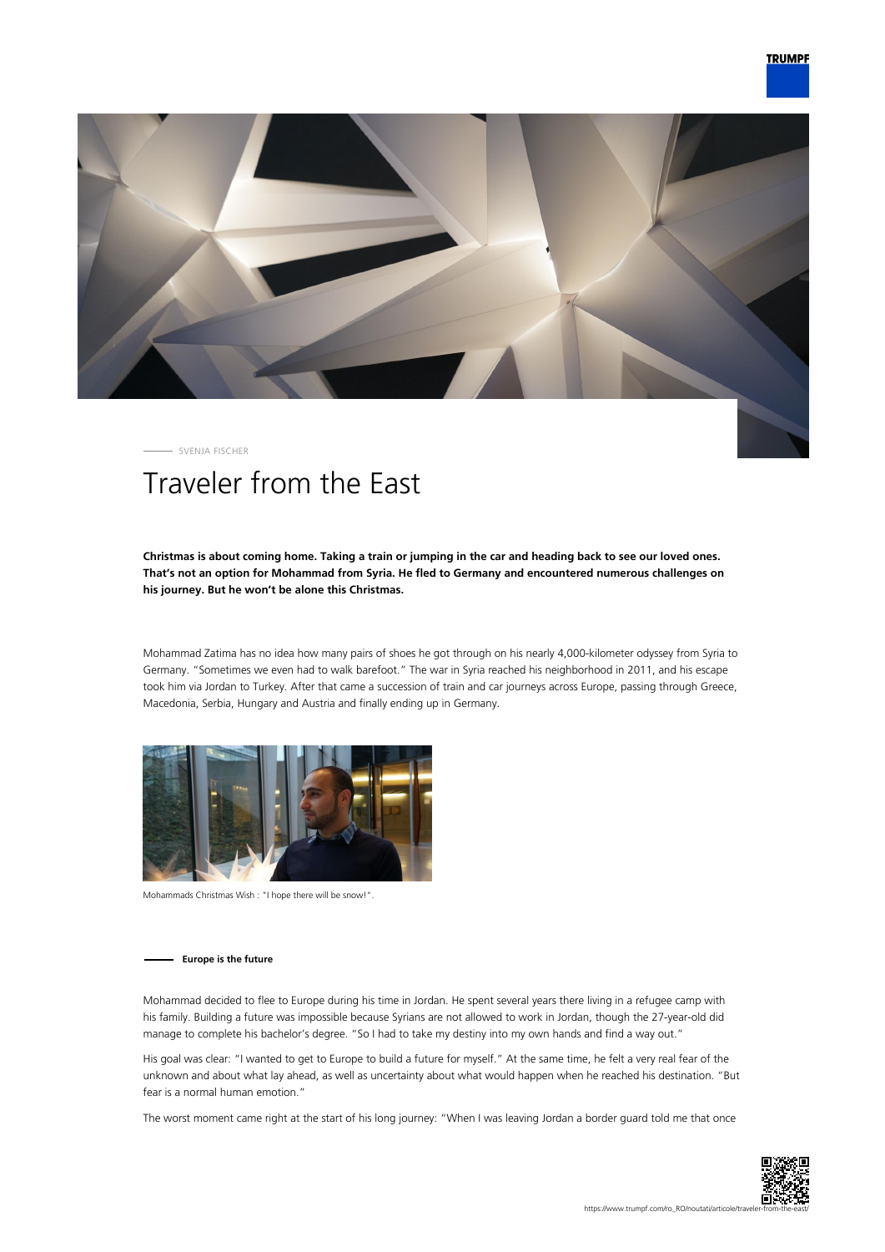

SVENJA FISCHER

# Traveler from the East

# **Christmas is about coming home. Taking a train or jumping in the car and heading back to see our loved ones. That's not an option for Mohammad from Syria. He fled to Germany and encountered numerous challenges on his journey. But he won't be alone this Christmas.**

Mohammad Zatima has no idea how many pairs of shoes he got through on his nearly 4,000-kilometer odyssey from Syria to Germany. "Sometimes we even had to walk barefoot." The war in Syria reached his neighborhood in 2011, and his escape took him via Jordan to Turkey. After that came a succession of train and car journeys across Europe, passing through Greece, Macedonia, Serbia, Hungary and Austria and finally ending up in Germany.



Mohammads Christmas Wish : "I hope there will be snow!".

## **Europe is the future**

Mohammad decided to flee to Europe during his time in Jordan. He spent several years there living in a refugee camp with his family. Building a future was impossible because Syrians are not allowed to work in Jordan, though the 27-year-old did manage to complete his bachelor's degree. "So I had to take my destiny into my own hands and find a way out."

His goal was clear: "I wanted to get to Europe to build a future for myself." At the same time, he felt a very real fear of the unknown and about what lay ahead, as well as uncertainty about what would happen when he reached his destination. "But fear is a normal human emotion."

The worst moment came right at the start of his long journey: "When I was leaving Jordan a border guard told me that once